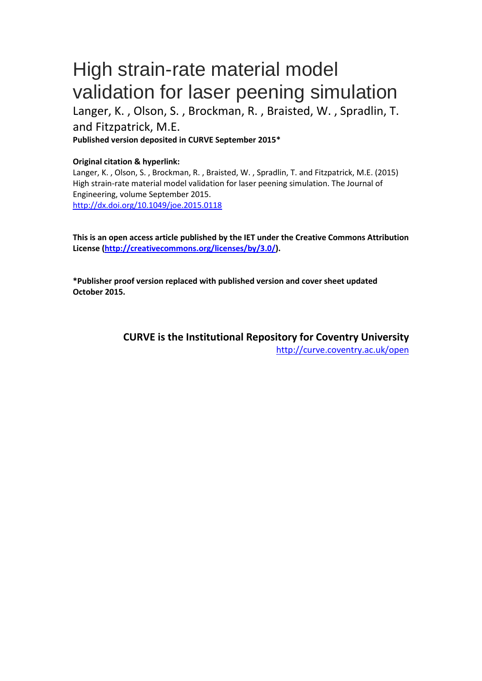# High strain-rate material model validation for laser peening simulation

Langer, K. , Olson, S. , Brockman, R. , Braisted, W. , Spradlin, T. and Fitzpatrick, M.E. **Published version deposited in CURVE September 2015\***

# **Original citation & hyperlink:**

Langer, K. , Olson, S. , Brockman, R. , Braisted, W. , Spradlin, T. and Fitzpatrick, M.E. (2015) High strain-rate material model validation for laser peening simulation. The Journal of Engineering, volume September 2015. <http://dx.doi.org/10.1049/joe.2015.0118>

**This is an open access article published by the IET under the Creative Commons Attribution License [\(http://creativecommons.org/licenses/by/3.0/\)](http://creativecommons.org/licenses/by/3.0/).**

**\*Publisher proof version replaced with published version and cover sheet updated October 2015.** 

> **CURVE is the Institutional Repository for Coventry University** <http://curve.coventry.ac.uk/open>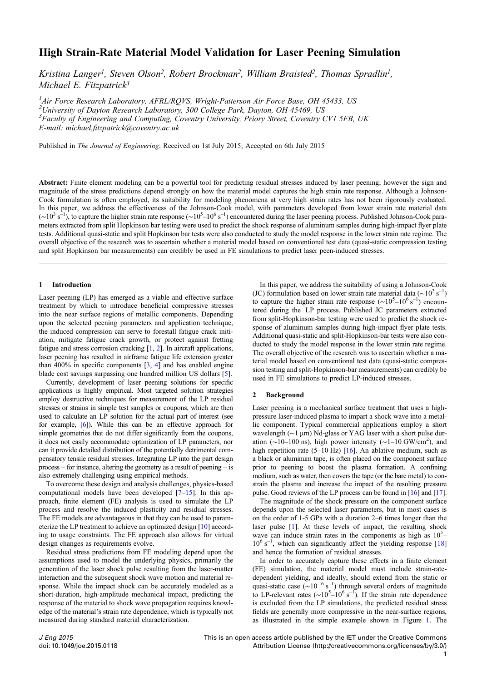# High Strain-Rate Material Model Validation for Laser Peening Simulation

Kristina Langer<sup>1</sup>, Steven Olson<sup>2</sup>, Robert Brockman<sup>2</sup>, William Braisted<sup>2</sup>, Thomas Spradlin<sup>1</sup>, Michael E. Fitzpatrick<sup>3</sup>

<sup>1</sup> Air Force Research Laboratory, AFRL/RQVS, Wright-Patterson Air Force Base, OH 45433, US <sup>2</sup> University of Dayton Research Laboratory, 300 College Park, Dayton, OH 45469, US <sup>3</sup> Faculty of Engineering and Computing, Coventry University, Priory Street, Coventry CV1 5FB, UK E-mail: [michael.](mailto:)fi[tzpatrick@coventry.ac.uk](mailto:)

Published in The Journal of Engineering; Received on 1st July 2015; Accepted on 6th July 2015

Abstract: Finite element modeling can be a powerful tool for predicting residual stresses induced by laser peening; however the sign and magnitude of the stress predictions depend strongly on how the material model captures the high strain rate response. Although a Johnson-Cook formulation is often employed, its suitability for modeling phenomena at very high strain rates has not been rigorously evaluated. In this paper, we address the effectiveness of the Johnson-Cook model, with parameters developed from lower strain rate material data  $(\sim 10^3 \text{ s}^{-1})$ , to capture the higher strain rate response ( $\sim 10^5$ – $10^6 \text{ s}^{-1}$ ) encountered during the laser peening process. Published Johnson-Cook parameters extracted from split Hopkinson bar testing were used to predict the shock response of aluminum samples during high-impact flyer plate tests. Additional quasi-static and split Hopkinson bar tests were also conducted to study the model response in the lower strain rate regime. The overall objective of the research was to ascertain whether a material model based on conventional test data (quasi-static compression testing and split Hopkinson bar measurements) can credibly be used in FE simulations to predict laser peen-induced stresses.

#### 1 Introduction

Laser peening (LP) has emerged as a viable and effective surface treatment by which to introduce beneficial compressive stresses into the near surface regions of metallic components. Depending upon the selected peening parameters and application technique, the induced compression can serve to forestall fatigue crack initiation, mitigate fatigue crack growth, or protect against fretting fatigue and stress corrosion cracking [\[1,](#page-7-0) [2\]](#page-7-0). In aircraft applications, laser peening has resulted in airframe fatigue life extension greater than 400% in specific components  $[3, 4]$  $[3, 4]$  $[3, 4]$  $[3, 4]$  and has enabled engine blade cost savings surpassing one hundred million US dollars [\[5\]](#page-8-0).

Currently, development of laser peening solutions for specific applications is highly empirical. Most targeted solution strategies employ destructive techniques for measurement of the LP residual stresses or strains in simple test samples or coupons, which are then used to calculate an LP solution for the actual part of interest (see for example, [\[6](#page-8-0)]). While this can be an effective approach for simple geometries that do not differ significantly from the coupons, it does not easily accommodate optimization of LP parameters, nor can it provide detailed distribution of the potentially detrimental compensatory tensile residual stresses. Integrating LP into the part design process – for instance, altering the geometry as a result of peening – is also extremely challenging using empirical methods.

To overcome these design and analysis challenges, physics-based computational models have been developed [[7](#page-8-0)–[15\]](#page-8-0). In this approach, finite element (FE) analysis is used to simulate the LP process and resolve the induced plasticity and residual stresses. The FE models are advantageous in that they can be used to parameterize the LP treatment to achieve an optimized design [[10\]](#page-8-0) according to usage constraints. The FE approach also allows for virtual design changes as requirements evolve.

Residual stress predictions from FE modeling depend upon the assumptions used to model the underlying physics, primarily the generation of the laser shock pulse resulting from the laser-matter interaction and the subsequent shock wave motion and material response. While the impact shock can be accurately modeled as a short-duration, high-amplitude mechanical impact, predicting the response of the material to shock wave propagation requires knowledge of the material's strain rate dependence, which is typically not measured during standard material characterization.

In this paper, we address the suitability of using a Johnson-Cook (JC) formulation based on lower strain rate material data ( $\sim$ 10<sup>3</sup> s<sup>-1</sup>) to capture the higher strain rate response  $({\sim}10^5-10^6 \text{ s}^{-1})$  encountered during the LP process. Published JC parameters extracted from split-Hopkinson-bar testing were used to predict the shock response of aluminum samples during high-impact flyer plate tests. Additional quasi-static and split-Hopkinson-bar tests were also conducted to study the model response in the lower strain rate regime. The overall objective of the research was to ascertain whether a material model based on conventional test data (quasi-static compression testing and split-Hopkinson-bar measurements) can credibly be used in FE simulations to predict LP-induced stresses.

# 2 Background

Laser peening is a mechanical surface treatment that uses a highpressure laser-induced plasma to impart a shock wave into a metallic component. Typical commercial applications employ a short wavelength (∼1 μm) Nd-glass or YAG laser with a short pulse duration (~10–100 ns), high power intensity (~1–10 GW/cm<sup>2</sup>), and high repetition rate  $(5-10 \text{ Hz})$  [\[16](#page-8-0)]. An ablative medium, such as a black or aluminum tape, is often placed on the component surface prior to peening to boost the plasma formation. A confining medium, such as water, then covers the tape (or the bare metal) to constrain the plasma and increase the impact of the resulting pressure pulse. Good reviews of the LP process can be found in [[16\]](#page-8-0) and [\[17\]](#page-8-0).

The magnitude of the shock pressure on the component surface depends upon the selected laser parameters, but in most cases is on the order of 1-5 GPa with a duration 2–6 times longer than the laser pulse [[1](#page-7-0)]. At these levels of impact, the resulting shock wave can induce strain rates in the components as high as  $10^5$ - $10^6$  s<sup>-1</sup>, which can significantly affect the yielding response [\[18](#page-8-0)] and hence the formation of residual stresses.

In order to accurately capture these effects in a finite element (FE) simulation, the material model must include strain-ratedependent yielding, and ideally, should extend from the static or quasi-static case ( $\sim 10^{-6}$  s<sup>-1</sup>) through several orders of magnitude to LP-relevant rates ( $\sim 10^{5} - 10^{6}$  s<sup>-1</sup>). If the strain rate dependence is excluded from the LP simulations, the predicted residual stress fields are generally more compressive in the near-surface regions, as illustrated in the simple example shown in Figure [1.](#page-2-0) The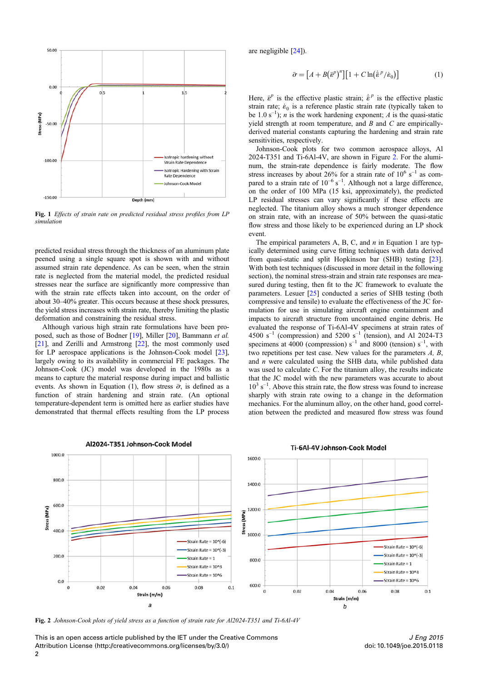<span id="page-2-0"></span>

Fig. 1 Effects of strain rate on predicted residual stress profiles from LP simulation

predicted residual stress through the thickness of an aluminum plate peened using a single square spot is shown with and without assumed strain rate dependence. As can be seen, when the strain rate is neglected from the material model, the predicted residual stresses near the surface are significantly more compressive than with the strain rate effects taken into account, on the order of about 30–40% greater. This occurs because at these shock pressures, the yield stress increases with strain rate, thereby limiting the plastic deformation and constraining the residual stress.

Although various high strain rate formulations have been proposed, such as those of Bodner [\[19](#page-8-0)], Miller [\[20](#page-8-0)], Bammann et al. [\[21](#page-8-0)], and Zerilli and Armstrong [\[22\]](#page-8-0), the most commonly used for LP aerospace applications is the Johnson-Cook model [\[23](#page-8-0)], largely owing to its availability in commercial FE packages. The Johnson-Cook (JC) model was developed in the 1980s as a means to capture the material response during impact and ballistic events. As shown in Equation (1), flow stress  $\bar{\sigma}$ , is defined as a function of strain hardening and strain rate. (An optional temperature-dependent term is omitted here as earlier studies have demonstrated that thermal effects resulting from the LP process

Al2024-T351 Johnson-Cook Model

are negligible [\[24\]](#page-8-0)).

$$
\bar{\sigma} = \left[A + B(\bar{\varepsilon}^p)^n\right] \left[1 + C \ln(\bar{\varepsilon}^p/\dot{\varepsilon}_0)\right] \tag{1}
$$

Here,  $\bar{\epsilon}^p$  is the effective plastic strain;  $\dot{\bar{\epsilon}}^p$  is the effective plastic strain rate;  $\dot{\epsilon}_0$  is a reference plastic strain rate (typically taken to be 1.0 s<sup>-1</sup>); *n* is the work hardening exponent; *A* is the quasi-static yield strength at room temperature, and  $B$  and  $C$  are empiricallyderived material constants capturing the hardening and strain rate sensitivities, respectively.

Johnson-Cook plots for two common aerospace alloys, Al 2024-T351 and Ti-6Al-4V, are shown in Figure 2. For the aluminum, the strain-rate dependence is fairly moderate. The flow stress increases by about 26% for a strain rate of  $10^6$  s<sup>-1</sup> as compared to a strain rate of  $10^{-6}$  s<sup>-1</sup>. Although not a large difference, on the order of 100 MPa (15 ksi, approximately), the predicted LP residual stresses can vary significantly if these effects are neglected. The titanium alloy shows a much stronger dependence on strain rate, with an increase of 50% between the quasi-static flow stress and those likely to be experienced during an LP shock event.

The empirical parameters A, B, C, and  $n$  in Equation 1 are typically determined using curve fitting techniques with data derived from quasi-static and split Hopkinson bar (SHB) testing [\[23](#page-8-0)]. With both test techniques (discussed in more detail in the following section), the nominal stress-strain and strain rate responses are measured during testing, then fit to the JC framework to evaluate the parameters. Lesuer [\[25](#page-8-0)] conducted a series of SHB testing (both compressive and tensile) to evaluate the effectiveness of the JC formulation for use in simulating aircraft engine containment and impacts to aircraft structure from uncontained engine debris. He evaluated the response of Ti-6Al-4V specimens at strain rates of 4500 s<sup>-1</sup> (compression) and 5200 s<sup>-1</sup> (tension), and Al 2024-T3 specimens at 4000 (compression)  $s^{-1}$  and 8000 (tension)  $s^{-1}$ , with two repetitions per test case. New values for the parameters A, B, and  $n$  were calculated using the SHB data, while published data was used to calculate C. For the titanium alloy, the results indicate that the JC model with the new parameters was accurate to about  $10^3$  s<sup>-1</sup>. Above this strain rate, the flow stress was found to increase sharply with strain rate owing to a change in the deformation mechanics. For the aluminum alloy, on the other hand, good correlation between the predicted and measured flow stress was found



Ti-6Al-4V Johnson-Cook Model

Fig. 2 Johnson-Cook plots of yield stress as a function of strain rate for Al2024-T351 and Ti-6Al-4V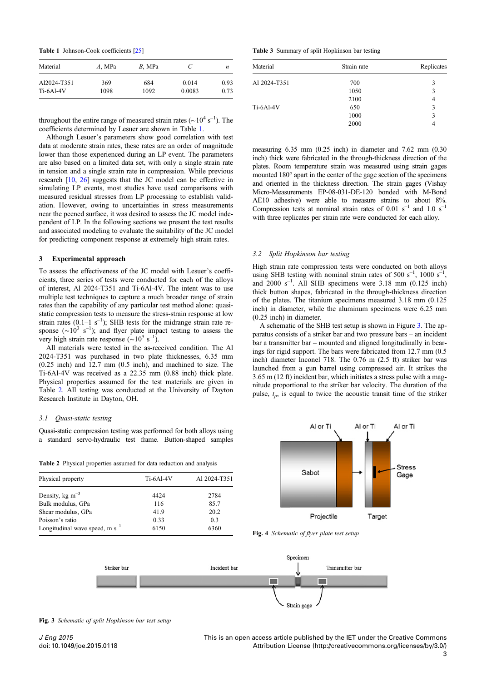<span id="page-3-0"></span>Table 1 Johnson-Cook coefficients [\[25](#page-8-0)]

| Material    | $A$ , MPa | $B$ , MPa | C      | n    |
|-------------|-----------|-----------|--------|------|
| Al2024-T351 | 369       | 684       | 0.014  | 0.93 |
| $Ti-6Al-4V$ | 1098      | 1092      | 0.0083 | 0.73 |

throughout the entire range of measured strain rates ( $\sim 10^4$  s<sup>-1</sup>). The coefficients determined by Lesuer are shown in Table 1.

Although Lesuer's parameters show good correlation with test data at moderate strain rates, these rates are an order of magnitude lower than those experienced during an LP event. The parameters are also based on a limited data set, with only a single strain rate in tension and a single strain rate in compression. While previous research [[10,](#page-8-0) [26\]](#page-8-0) suggests that the JC model can be effective in simulating LP events, most studies have used comparisons with measured residual stresses from LP processing to establish validation. However, owing to uncertainties in stress measurements near the peened surface, it was desired to assess the JC model independent of LP. In the following sections we present the test results and associated modeling to evaluate the suitability of the JC model for predicting component response at extremely high strain rates.

#### 3 Experimental approach

To assess the effectiveness of the JC model with Lesuer's coefficients, three series of tests were conducted for each of the alloys of interest, Al 2024-T351 and Ti-6Al-4V. The intent was to use multiple test techniques to capture a much broader range of strain rates than the capability of any particular test method alone: quasistatic compression tests to measure the stress-strain response at low strain rates  $(0.1-1 \text{ s}^{-1})$ ; SHB tests for the midrange strain rate response ( $\sim 10^3$  s<sup>-1</sup>); and flyer plate impact testing to assess the very high strain rate response (~10<sup>5</sup> s<sup>-1</sup>).

All materials were tested in the as-received condition. The Al 2024-T351 was purchased in two plate thicknesses, 6.35 mm (0.25 inch) and 12.7 mm (0.5 inch), and machined to size. The Ti-6Al-4V was received as a 22.35 mm (0.88 inch) thick plate. Physical properties assumed for the test materials are given in Table 2. All testing was conducted at the University of Dayton Research Institute in Dayton, OH.

### 3.1 Quasi-static testing

Quasi-static compression testing was performed for both alloys using a standard servo-hydraulic test frame. Button-shaped samples

|  |  | Table 2 Physical properties assumed for data reduction and analysis |  |  |  |  |  |  |  |
|--|--|---------------------------------------------------------------------|--|--|--|--|--|--|--|
|--|--|---------------------------------------------------------------------|--|--|--|--|--|--|--|

| Physical property                   | Ti-6Al-4V | Al 2024-T351 |  |
|-------------------------------------|-----------|--------------|--|
| Density, $kg \, \text{m}^{-3}$      | 4424      | 2784         |  |
| Bulk modulus, GPa                   | 116       | 85.7         |  |
| Shear modulus, GPa                  | 41.9      | 20.2         |  |
| Poisson's ratio                     | 0.33      | 0.3          |  |
| Longitudinal wave speed, m $s^{-1}$ | 6150      | 6360         |  |

Table 3 Summary of split Hopkinson bar testing

| Material     | Strain rate | Replicates |
|--------------|-------------|------------|
| Al 2024-T351 | 700         | 3          |
|              | 1050        | 3          |
|              | 2100        | 4          |
| Ti-6Al-4V    | 650         | 3          |
|              | 1000        | 3          |
|              | 2000        | 4          |

measuring 6.35 mm (0.25 inch) in diameter and 7.62 mm (0.30 inch) thick were fabricated in the through-thickness direction of the plates. Room temperature strain was measured using strain gages mounted 180° apart in the center of the gage section of the specimens and oriented in the thickness direction. The strain gages (Vishay Micro-Measurements EP-08-031-DE-120 bonded with M-Bond AE10 adhesive) were able to measure strains to about 8%. Compression tests at nominal strain rates of 0.01  $s^{-1}$  and 1.0  $s^{-1}$ with three replicates per strain rate were conducted for each alloy.

### 3.2 Split Hopkinson bar testing

High strain rate compression tests were conducted on both alloys using SHB testing with nominal strain rates of 500  $s^{-1}$ , 1000  $s^{-1}$ , and  $2000 \text{ s}^{-1}$ . All SHB specimens were 3.18 mm (0.125 inch) thick button shapes, fabricated in the through-thickness direction of the plates. The titanium specimens measured 3.18 mm (0.125 inch) in diameter, while the aluminum specimens were 6.25 mm (0.25 inch) in diameter.

A schematic of the SHB test setup is shown in Figure 3. The apparatus consists of a striker bar and two pressure bars – an incident bar a transmitter bar – mounted and aligned longitudinally in bearings for rigid support. The bars were fabricated from 12.7 mm (0.5 inch) diameter Inconel 718. The 0.76 m (2.5 ft) striker bar was launched from a gun barrel using compressed air. It strikes the 3.65 m (12 ft) incident bar, which initiates a stress pulse with a magnitude proportional to the striker bar velocity. The duration of the pulse,  $t_p$ , is equal to twice the acoustic transit time of the striker



Fig. 4 Schematic of flyer plate test setup



Fig. 3 Schematic of split Hopkinson bar test setup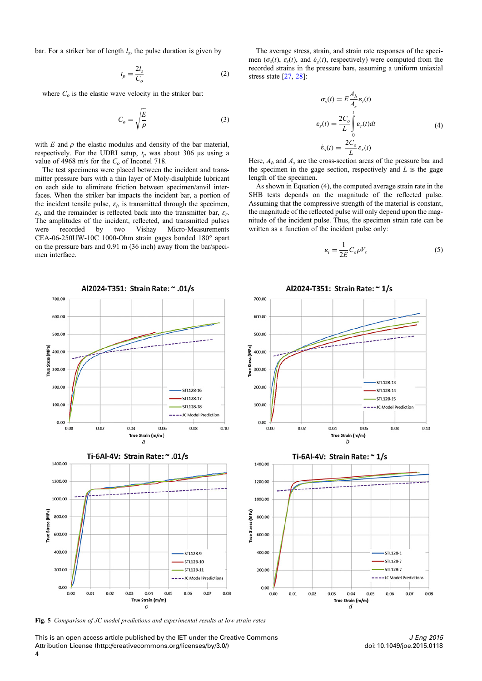<span id="page-4-0"></span>bar. For a striker bar of length  $l_s$ , the pulse duration is given by

$$
t_p = \frac{2l_s}{C_o} \tag{2}
$$

where  $C<sub>o</sub>$  is the elastic wave velocity in the striker bar:

$$
C_o = \sqrt{\frac{E}{\rho}}
$$
 (3)

with  $E$  and  $\rho$  the elastic modulus and density of the bar material, respectively. For the UDRI setup,  $t_p$  was about 306 μs using a value of 4968 m/s for the  $C<sub>o</sub>$  of Inconel 718.

The test specimens were placed between the incident and transmitter pressure bars with a thin layer of Moly-disulphide lubricant on each side to eliminate friction between specimen/anvil interfaces. When the striker bar impacts the incident bar, a portion of the incident tensile pulse,  $\varepsilon_i$ , is transmitted through the specimen,  $\varepsilon_t$ , and the remainder is reflected back into the transmitter bar,  $\varepsilon_t$ . The amplitudes of the incident, reflected, and transmitted pulses were recorded by two Vishay Micro-Measurements CEA-06-250UW-10C 1000-Ohm strain gages bonded 180° apart on the pressure bars and 0.91 m (36 inch) away from the bar/specimen interface.

The average stress, strain, and strain rate responses of the specimen ( $\sigma_s(t)$ ,  $\varepsilon_s(t)$ , and  $\dot{\varepsilon}_s(t)$ , respectively) were computed from the recorded strains in the pressure bars, assuming a uniform uniaxial stress state [\[27](#page-8-0), [28](#page-8-0)]:

$$
\sigma_s(t) = E \frac{A_b}{A_s} \varepsilon_t(t)
$$
  
\n
$$
\varepsilon_s(t) = \frac{2C_o}{L} \int_0^t \varepsilon_t(t) dt
$$
  
\n
$$
\dot{\varepsilon}_s(t) = \frac{2C_o}{L} \varepsilon_r(t)
$$
\n(4)

Here,  $A_b$  and  $A_s$  are the cross-section areas of the pressure bar and the specimen in the gage section, respectively and  $L$  is the gage length of the specimen.

As shown in Equation (4), the computed average strain rate in the SHB tests depends on the magnitude of the reflected pulse. Assuming that the compressive strength of the material is constant, the magnitude of the reflected pulse will only depend upon the magnitude of the incident pulse. Thus, the specimen strain rate can be written as a function of the incident pulse only:

$$
\varepsilon_i = \frac{1}{2E} C_o \rho V_s \tag{5}
$$



Fig. 5 Comparison of JC model predictions and experimental results at low strain rates

This is an open access article published by the IET under the Creative Commons Attribution License (http://creativecommons.org/licenses/by/3.0/)

doi: 10.1049/joe.2015.0118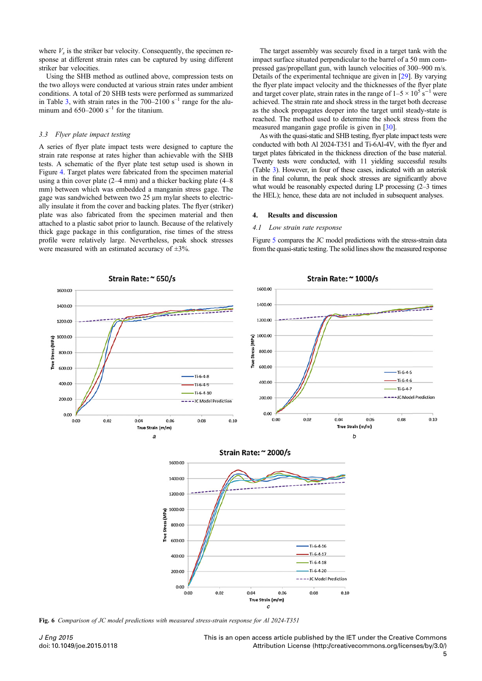<span id="page-5-0"></span>where  $V_s$  is the striker bar velocity. Consequently, the specimen response at different strain rates can be captured by using different striker bar velocities.

Using the SHB method as outlined above, compression tests on the two alloys were conducted at various strain rates under ambient conditions. A total of 20 SHB tests were performed as summarized in Table [3](#page-3-0), with strain rates in the  $700-2100$  s<sup>-1</sup> range for the aluminum and  $650-2000$  s<sup>-1</sup> for the titanium.

## 3.3 Flyer plate impact testing

A series of flyer plate impact tests were designed to capture the strain rate response at rates higher than achievable with the SHB tests. A schematic of the flyer plate test setup used is shown in Figure [4](#page-3-0). Target plates were fabricated from the specimen material using a thin cover plate (2–4 mm) and a thicker backing plate (4–8 mm) between which was embedded a manganin stress gage. The gage was sandwiched between two 25 μm mylar sheets to electrically insulate it from the cover and backing plates. The flyer (striker) plate was also fabricated from the specimen material and then attached to a plastic sabot prior to launch. Because of the relatively thick gage package in this configuration, rise times of the stress profile were relatively large. Nevertheless, peak shock stresses were measured with an estimated accuracy of  $\pm 3\%$ .

The target assembly was securely fixed in a target tank with the impact surface situated perpendicular to the barrel of a 50 mm compressed gas/propellant gun, with launch velocities of 300–900 m/s. Details of the experimental technique are given in [\[29](#page-8-0)]. By varying the flyer plate impact velocity and the thicknesses of the flyer plate and target cover plate, strain rates in the range of  $1-5 \times 10^5$  s<sup>-1</sup> were achieved. The strain rate and shock stress in the target both decrease as the shock propagates deeper into the target until steady-state is reached. The method used to determine the shock stress from the measured manganin gage profile is given in [\[30](#page-8-0)].

As with the quasi-static and SHB testing, flyer plate impact tests were conducted with both Al 2024-T351 and Ti-6Al-4V, with the flyer and target plates fabricated in the thickness direction of the base material. Twenty tests were conducted, with 11 yielding successful results (Table [3](#page-3-0)). However, in four of these cases, indicated with an asterisk in the final column, the peak shock stresses are significantly above what would be reasonably expected during LP processing (2–3 times the HEL); hence, these data are not included in subsequent analyses.

#### 4. Results and discussion

#### 4.1 Low strain rate response

Figure [5](#page-4-0) compares the JC model predictions with the stress-strain data from the quasi-static testing. The solid lines show the measured response



Fig. 6 Comparison of JC model predictions with measured stress-strain response for Al 2024-T351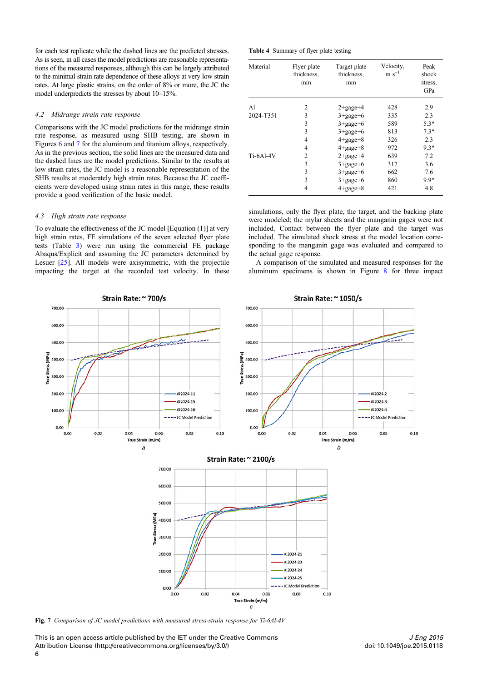for each test replicate while the dashed lines are the predicted stresses. As is seen, in all cases the model predictions are reasonable representations of the measured responses, although this can be largely attributed to the minimal strain rate dependence of these alloys at very low strain rates. At large plastic strains, on the order of 8% or more, the JC the model underpredicts the stresses by about 10–15%.

## 4.2 Midrange strain rate response

Comparisons with the JC model predictions for the midrange strain rate response, as measured using SHB testing, are shown in Figures [6](#page-5-0) and 7 for the aluminum and titanium alloys, respectively. As in the previous section, the solid lines are the measured data and the dashed lines are the model predictions. Similar to the results at low strain rates, the JC model is a reasonable representation of the SHB results at moderately high strain rates. Because the JC coefficients were developed using strain rates in this range, these results provide a good verification of the basic model.

# 4.3 High strain rate response

To evaluate the effectiveness of the JC model [Equation (1)] at very high strain rates, FE simulations of the seven selected flyer plate tests (Table [3](#page-3-0)) were run using the commercial FE package Abaqus/Explicit and assuming the JC parameters determined by Lesuer [[25\]](#page-8-0). All models were axisymmetric, with the projectile impacting the target at the recorded test velocity. In these

Table 4 Summary of flyer plate testing

| Material  | Flyer plate<br>thickness.<br>mm | Target plate<br>thickness.<br>mm | Velocity,<br>$m s^{-1}$ | Peak<br>shock<br>stress.<br>GPa |
|-----------|---------------------------------|----------------------------------|-------------------------|---------------------------------|
| A1        | $\overline{c}$                  | $2 + \text{gage} + 4$            | 428                     | 2.9                             |
| 2024-T351 | 3                               | $3 + \text{gage} + 6$            | 335                     | 2.3                             |
|           | 3                               | $3 + \text{gage} + 6$            | 589                     | $5.3*$                          |
|           | 3                               | $3 + \text{gage} + 6$            | 813                     | $7.3*$                          |
|           | 4                               | $4+$ gage $+8$                   | 326                     | 2.3                             |
|           | 4                               | $4+$ gage $+8$                   | 972                     | $9.3*$                          |
| Ti-6Al-4V | $\overline{c}$                  | $2 + \text{gage} + 4$            | 639                     | 7.2                             |
|           | 3                               | $3 + \text{gage} + 6$            | 317                     | 3.6                             |
|           | 3                               | $3 + \text{gage} + 6$            | 662                     | 7.6                             |
|           | 3                               | $3 + \text{gage} + 6$            | 860                     | $9.9*$                          |
|           | 4                               | $4+gage+8$                       | 421                     | 4.8                             |

simulations, only the flyer plate, the target, and the backing plate were modeled; the mylar sheets and the manganin gages were not included. Contact between the flyer plate and the target was included. The simulated shock stress at the model location corresponding to the manganin gage was evaluated and compared to the actual gage response.

A comparison of the simulated and measured responses for the aluminum specimens is shown in Figure [8](#page-7-0) for three impact



Fig. 7 Comparison of JC model predictions with measured stress-strain response for Ti-6Al-4V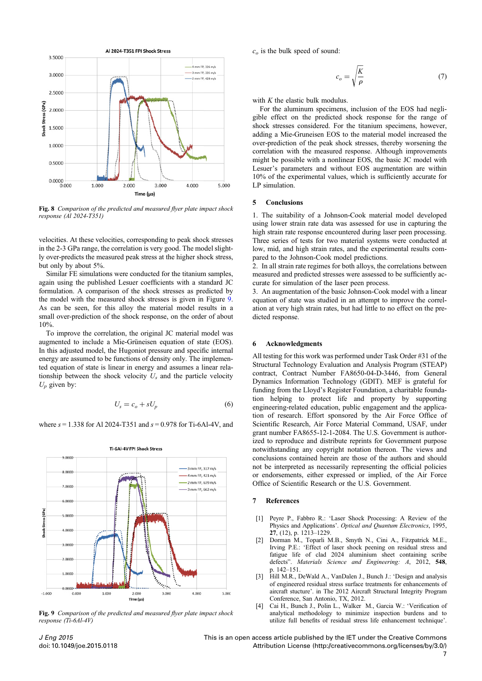<span id="page-7-0"></span>

Fig. 8 Comparison of the predicted and measured flyer plate impact shock response (Al 2024-T351)

velocities. At these velocities, corresponding to peak shock stresses in the 2-3 GPa range, the correlation is very good. The model slightly over-predicts the measured peak stress at the higher shock stress, but only by about 5%.

Similar FE simulations were conducted for the titanium samples, again using the published Lesuer coefficients with a standard JC formulation. A comparison of the shock stresses as predicted by the model with the measured shock stresses is given in Figure 9. As can be seen, for this alloy the material model results in a small over-prediction of the shock response, on the order of about 10%.

To improve the correlation, the original JC material model was augmented to include a Mie-Grüneisen equation of state (EOS). In this adjusted model, the Hugoniot pressure and specific internal energy are assumed to be functions of density only. The implemented equation of state is linear in energy and assumes a linear relationship between the shock velocity  $U_s$  and the particle velocity  $U_p$  given by:

$$
U_s = c_o + sU_p \tag{6}
$$

where  $s = 1.338$  for Al 2024-T351 and  $s = 0.978$  for Ti-6Al-4V, and



**Ti-6Al-4V FPI Shock Stress** 

Fig. 9 Comparison of the predicted and measured flyer plate impact shock response (Ti-6Al-4V)

 $c<sub>o</sub>$  is the bulk speed of sound:

$$
c_o = \sqrt{\frac{K}{\rho}}\tag{7}
$$

with  $K$  the elastic bulk modulus.

For the aluminum specimens, inclusion of the EOS had negligible effect on the predicted shock response for the range of shock stresses considered. For the titanium specimens, however, adding a Mie-Gruneisen EOS to the material model increased the over-prediction of the peak shock stresses, thereby worsening the correlation with the measured response. Although improvements might be possible with a nonlinear EOS, the basic JC model with Lesuer's parameters and without EOS augmentation are within 10% of the experimental values, which is sufficiently accurate for LP simulation.

# 5 Conclusions

1. The suitability of a Johnson-Cook material model developed using lower strain rate data was assessed for use in capturing the high strain rate response encountered during laser peen processing. Three series of tests for two material systems were conducted at low, mid, and high strain rates, and the experimental results compared to the Johnson-Cook model predictions.

2. In all strain rate regimes for both alloys, the correlations between measured and predicted stresses were assessed to be sufficiently accurate for simulation of the laser peen process.

3. An augmentation of the basic Johnson-Cook model with a linear equation of state was studied in an attempt to improve the correlation at very high strain rates, but had little to no effect on the predicted response.

#### 6 Acknowledgments

All testing for this work was performed under Task Order #31 of the Structural Technology Evaluation and Analysis Program (STEAP) contract, Contract Number FA8650-04-D-3446, from General Dynamics Information Technology (GDIT). MEF is grateful for funding from the Lloyd's Register Foundation, a charitable foundation helping to protect life and property by supporting engineering-related education, public engagement and the application of research. Effort sponsored by the Air Force Office of Scientific Research, Air Force Material Command, USAF, under grant number FA8655-12-1-2084. The U.S. Government is authorized to reproduce and distribute reprints for Government purpose notwithstanding any copyright notation thereon. The views and conclusions contained herein are those of the authors and should not be interpreted as necessarily representing the official policies or endorsements, either expressed or implied, of the Air Force Office of Scientific Research or the U.S. Government.

#### 7 References

- [1] Peyre P., Fabbro R.: 'Laser Shock Processing: A Review of the Physics and Applications'. Optical and Quantum Electronics, 1995, 27, (12), p. 1213–1229.
- [2] Dorman M., Toparli M.B., Smyth N., Cini A., Fitzpatrick M.E., Irving P.E.: 'Effect of laser shock peening on residual stress and fatigue life of clad 2024 aluminium sheet containing scribe defects". Materials Science and Engineering: A, 2012, 548, p. 142–151.
- [3] Hill M.R., DeWald A., VanDalen J., Bunch J.: 'Design and analysis of engineered residual stress surface treatments for enhancements of aircraft stucture'. in The 2012 Aircraft Structural Integrity Program Conference, San Antonio, TX, 2012.
- [4] Cai H., Bunch J., Polin L., Walker M., Garcia W.: 'Verification of analytical methodology to minimize inspection burdens and to utilize full benefits of residual stress life enhancement technique'.